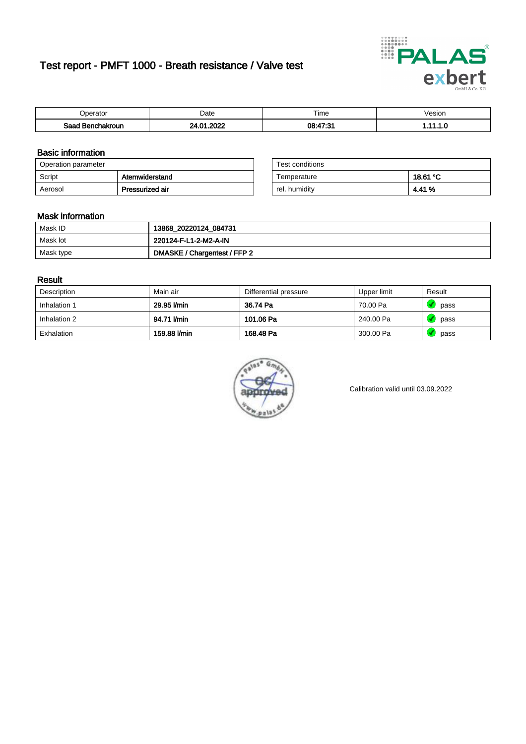# Test report - PMFT 1000 - Breath resistance / Valve test



| <b>'</b> perator              | Date      | $- \cdot$<br><b>Time</b> | esion |
|-------------------------------|-----------|--------------------------|-------|
| Saad<br><b>ìchakroun</b><br>. | റററ<br>n. | 08.47.31                 | .     |

### Basic information

| Operation parameter |                 | Test conditions |          |
|---------------------|-----------------|-----------------|----------|
| Script              | Atemwiderstand  | Temperature     | 18.61 °C |
| Aerosol             | Pressurized air | rel. humidity   | 4.41 %   |

| Test conditions |          |
|-----------------|----------|
| Temperature     | 18.61 °C |
| rel. humidity   | 4.41 %   |

### Mask information

| Mask ID   | 13868_20220124_084731        |
|-----------|------------------------------|
| Mask lot  | 220124-F-L1-2-M2-A-IN        |
| Mask type | DMASKE / Chargentest / FFP 2 |

### Result

| Description  | Main air     | Differential pressure | Upper limit | Result |
|--------------|--------------|-----------------------|-------------|--------|
| Inhalation 1 | 29.95 l/min  | 36.74 Pa              | 70.00 Pa    | pass   |
| Inhalation 2 | 94.71 l/min  | 101.06 Pa             | 240.00 Pa   | pass   |
| Exhalation   | 159.88 l/min | 168.48 Pa             | 300.00 Pa   | pass   |



Calibration valid until 03.09.2022